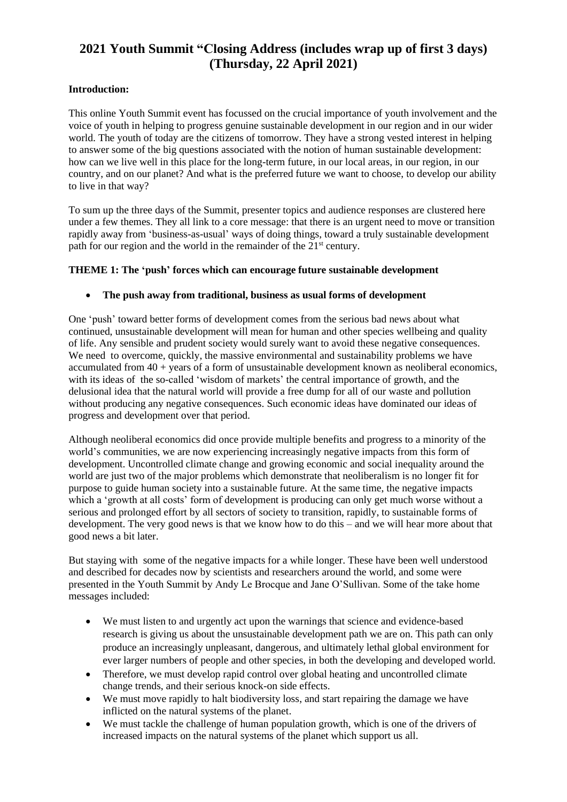# **2021 Youth Summit "Closing Address (includes wrap up of first 3 days) (Thursday, 22 April 2021)**

# **Introduction:**

This online Youth Summit event has focussed on the crucial importance of youth involvement and the voice of youth in helping to progress genuine sustainable development in our region and in our wider world. The youth of today are the citizens of tomorrow. They have a strong vested interest in helping to answer some of the big questions associated with the notion of human sustainable development: how can we live well in this place for the long-term future, in our local areas, in our region, in our country, and on our planet? And what is the preferred future we want to choose, to develop our ability to live in that way?

To sum up the three days of the Summit, presenter topics and audience responses are clustered here under a few themes. They all link to a core message: that there is an urgent need to move or transition rapidly away from 'business-as-usual' ways of doing things, toward a truly sustainable development path for our region and the world in the remainder of the 21<sup>st</sup> century.

#### **THEME 1: The 'push' forces which can encourage future sustainable development**

#### • **The push away from traditional, business as usual forms of development**

One 'push' toward better forms of development comes from the serious bad news about what continued, unsustainable development will mean for human and other species wellbeing and quality of life. Any sensible and prudent society would surely want to avoid these negative consequences. We need to overcome, quickly, the massive environmental and sustainability problems we have accumulated from  $40 + \text{years}$  of a form of unsustainable development known as neoliberal economics, with its ideas of the so-called 'wisdom of markets' the central importance of growth, and the delusional idea that the natural world will provide a free dump for all of our waste and pollution without producing any negative consequences. Such economic ideas have dominated our ideas of progress and development over that period.

Although neoliberal economics did once provide multiple benefits and progress to a minority of the world's communities, we are now experiencing increasingly negative impacts from this form of development. Uncontrolled climate change and growing economic and social inequality around the world are just two of the major problems which demonstrate that neoliberalism is no longer fit for purpose to guide human society into a sustainable future. At the same time, the negative impacts which a 'growth at all costs' form of development is producing can only get much worse without a serious and prolonged effort by all sectors of society to transition, rapidly, to sustainable forms of development. The very good news is that we know how to do this – and we will hear more about that good news a bit later.

But staying with some of the negative impacts for a while longer. These have been well understood and described for decades now by scientists and researchers around the world, and some were presented in the Youth Summit by Andy Le Brocque and Jane O'Sullivan. Some of the take home messages included:

- We must listen to and urgently act upon the warnings that science and evidence-based research is giving us about the unsustainable development path we are on. This path can only produce an increasingly unpleasant, dangerous, and ultimately lethal global environment for ever larger numbers of people and other species, in both the developing and developed world.
- Therefore, we must develop rapid control over global heating and uncontrolled climate change trends, and their serious knock-on side effects.
- We must move rapidly to halt biodiversity loss, and start repairing the damage we have inflicted on the natural systems of the planet.
- We must tackle the challenge of human population growth, which is one of the drivers of increased impacts on the natural systems of the planet which support us all.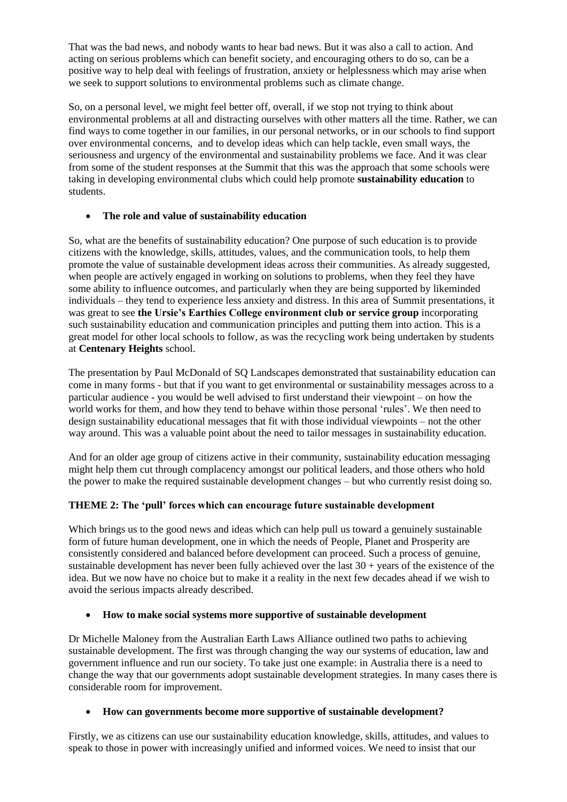That was the bad news, and nobody wants to hear bad news. But it was also a call to action. And acting on serious problems which can benefit society, and encouraging others to do so, can be a positive way to help deal with feelings of frustration, anxiety or helplessness which may arise when we seek to support solutions to environmental problems such as climate change.

So, on a personal level, we might feel better off, overall, if we stop not trying to think about environmental problems at all and distracting ourselves with other matters all the time. Rather, we can find ways to come together in our families, in our personal networks, or in our schools to find support over environmental concerns, and to develop ideas which can help tackle, even small ways, the seriousness and urgency of the environmental and sustainability problems we face. And it was clear from some of the student responses at the Summit that this was the approach that some schools were taking in developing environmental clubs which could help promote **sustainability education** to students.

## • **The role and value of sustainability education**

So, what are the benefits of sustainability education? One purpose of such education is to provide citizens with the knowledge, skills, attitudes, values, and the communication tools, to help them promote the value of sustainable development ideas across their communities. As already suggested, when people are actively engaged in working on solutions to problems, when they feel they have some ability to influence outcomes, and particularly when they are being supported by likeminded individuals – they tend to experience less anxiety and distress. In this area of Summit presentations, it was great to see **the Ursie's Earthies College environment club or service group** incorporating such sustainability education and communication principles and putting them into action. This is a great model for other local schools to follow, as was the recycling work being undertaken by students at **Centenary Heights** school.

The presentation by Paul McDonald of SQ Landscapes demonstrated that sustainability education can come in many forms - but that if you want to get environmental or sustainability messages across to a particular audience - you would be well advised to first understand their viewpoint – on how the world works for them, and how they tend to behave within those personal 'rules'. We then need to design sustainability educational messages that fit with those individual viewpoints – not the other way around. This was a valuable point about the need to tailor messages in sustainability education.

And for an older age group of citizens active in their community, sustainability education messaging might help them cut through complacency amongst our political leaders, and those others who hold the power to make the required sustainable development changes – but who currently resist doing so.

## **THEME 2: The 'pull' forces which can encourage future sustainable development**

Which brings us to the good news and ideas which can help pull us toward a genuinely sustainable form of future human development, one in which the needs of People, Planet and Prosperity are consistently considered and balanced before development can proceed. Such a process of genuine, sustainable development has never been fully achieved over the last  $30 + \gamma$  years of the existence of the idea. But we now have no choice but to make it a reality in the next few decades ahead if we wish to avoid the serious impacts already described.

## • **How to make social systems more supportive of sustainable development**

Dr Michelle Maloney from the Australian Earth Laws Alliance outlined two paths to achieving sustainable development. The first was through changing the way our systems of education, law and government influence and run our society. To take just one example: in Australia there is a need to change the way that our governments adopt sustainable development strategies. In many cases there is considerable room for improvement.

#### • **How can governments become more supportive of sustainable development?**

Firstly, we as citizens can use our sustainability education knowledge, skills, attitudes, and values to speak to those in power with increasingly unified and informed voices. We need to insist that our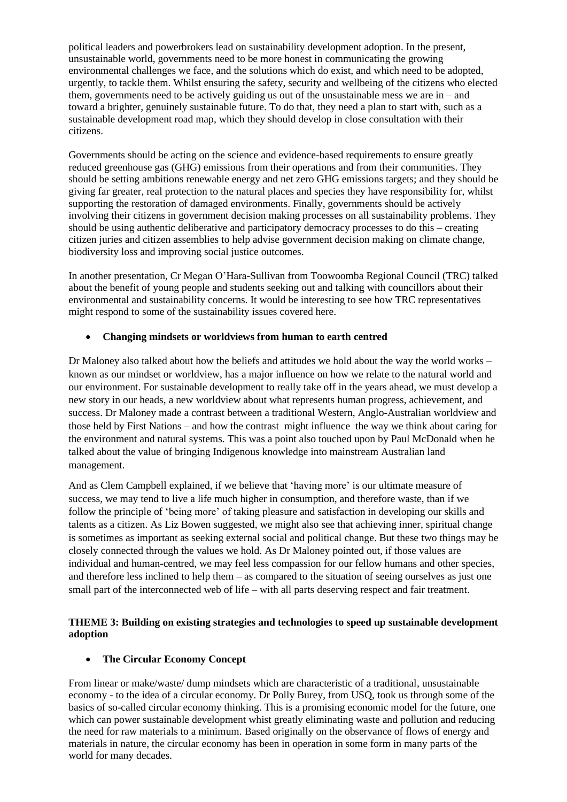political leaders and powerbrokers lead on sustainability development adoption. In the present, unsustainable world, governments need to be more honest in communicating the growing environmental challenges we face, and the solutions which do exist, and which need to be adopted, urgently, to tackle them. Whilst ensuring the safety, security and wellbeing of the citizens who elected them, governments need to be actively guiding us out of the unsustainable mess we are  $in -$  and toward a brighter, genuinely sustainable future. To do that, they need a plan to start with, such as a sustainable development road map, which they should develop in close consultation with their citizens.

Governments should be acting on the science and evidence-based requirements to ensure greatly reduced greenhouse gas (GHG) emissions from their operations and from their communities. They should be setting ambitions renewable energy and net zero GHG emissions targets; and they should be giving far greater, real protection to the natural places and species they have responsibility for, whilst supporting the restoration of damaged environments. Finally, governments should be actively involving their citizens in government decision making processes on all sustainability problems. They should be using authentic deliberative and participatory democracy processes to do this – creating citizen juries and citizen assemblies to help advise government decision making on climate change, biodiversity loss and improving social justice outcomes.

In another presentation, Cr Megan O'Hara-Sullivan from Toowoomba Regional Council (TRC) talked about the benefit of young people and students seeking out and talking with councillors about their environmental and sustainability concerns. It would be interesting to see how TRC representatives might respond to some of the sustainability issues covered here.

## • **Changing mindsets or worldviews from human to earth centred**

Dr Maloney also talked about how the beliefs and attitudes we hold about the way the world works – known as our mindset or worldview, has a major influence on how we relate to the natural world and our environment. For sustainable development to really take off in the years ahead, we must develop a new story in our heads, a new worldview about what represents human progress, achievement, and success. Dr Maloney made a contrast between a traditional Western, Anglo-Australian worldview and those held by First Nations – and how the contrast might influence the way we think about caring for the environment and natural systems. This was a point also touched upon by Paul McDonald when he talked about the value of bringing Indigenous knowledge into mainstream Australian land management.

And as Clem Campbell explained, if we believe that 'having more' is our ultimate measure of success, we may tend to live a life much higher in consumption, and therefore waste, than if we follow the principle of 'being more' of taking pleasure and satisfaction in developing our skills and talents as a citizen. As Liz Bowen suggested, we might also see that achieving inner, spiritual change is sometimes as important as seeking external social and political change. But these two things may be closely connected through the values we hold. As Dr Maloney pointed out, if those values are individual and human-centred, we may feel less compassion for our fellow humans and other species, and therefore less inclined to help them – as compared to the situation of seeing ourselves as just one small part of the interconnected web of life – with all parts deserving respect and fair treatment.

## **THEME 3: Building on existing strategies and technologies to speed up sustainable development adoption**

## • **The Circular Economy Concept**

From linear or make/waste/ dump mindsets which are characteristic of a traditional, unsustainable economy - to the idea of a circular economy. Dr Polly Burey, from USQ, took us through some of the basics of so-called circular economy thinking. This is a promising economic model for the future, one which can power sustainable development whist greatly eliminating waste and pollution and reducing the need for raw materials to a minimum. Based originally on the observance of flows of energy and materials in nature, the circular economy has been in operation in some form in many parts of the world for many decades.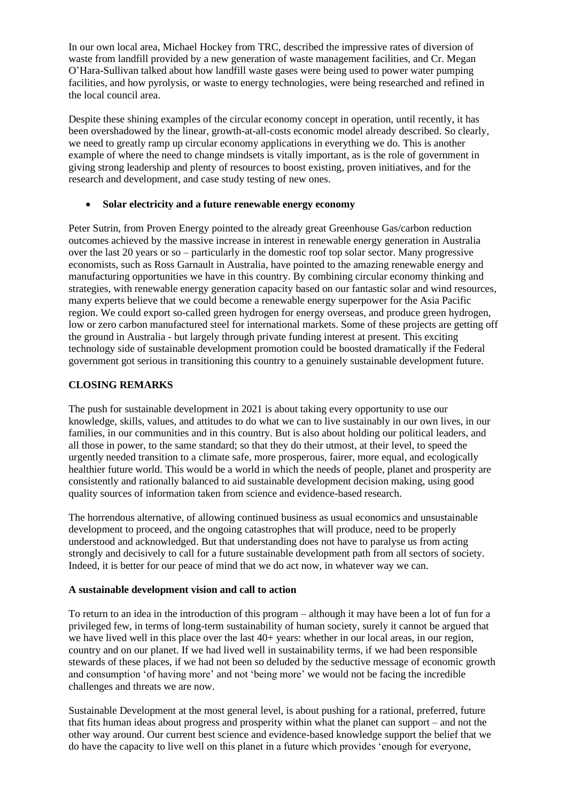In our own local area, Michael Hockey from TRC, described the impressive rates of diversion of waste from landfill provided by a new generation of waste management facilities, and Cr. Megan O'Hara-Sullivan talked about how landfill waste gases were being used to power water pumping facilities, and how pyrolysis, or waste to energy technologies, were being researched and refined in the local council area.

Despite these shining examples of the circular economy concept in operation, until recently, it has been overshadowed by the linear, growth-at-all-costs economic model already described. So clearly, we need to greatly ramp up circular economy applications in everything we do. This is another example of where the need to change mindsets is vitally important, as is the role of government in giving strong leadership and plenty of resources to boost existing, proven initiatives, and for the research and development, and case study testing of new ones.

## • **Solar electricity and a future renewable energy economy**

Peter Sutrin, from Proven Energy pointed to the already great Greenhouse Gas/carbon reduction outcomes achieved by the massive increase in interest in renewable energy generation in Australia over the last 20 years or so – particularly in the domestic roof top solar sector. Many progressive economists, such as Ross Garnault in Australia, have pointed to the amazing renewable energy and manufacturing opportunities we have in this country. By combining circular economy thinking and strategies, with renewable energy generation capacity based on our fantastic solar and wind resources, many experts believe that we could become a renewable energy superpower for the Asia Pacific region. We could export so-called green hydrogen for energy overseas, and produce green hydrogen, low or zero carbon manufactured steel for international markets. Some of these projects are getting off the ground in Australia - but largely through private funding interest at present. This exciting technology side of sustainable development promotion could be boosted dramatically if the Federal government got serious in transitioning this country to a genuinely sustainable development future.

## **CLOSING REMARKS**

The push for sustainable development in 2021 is about taking every opportunity to use our knowledge, skills, values, and attitudes to do what we can to live sustainably in our own lives, in our families, in our communities and in this country. But is also about holding our political leaders, and all those in power, to the same standard; so that they do their utmost, at their level, to speed the urgently needed transition to a climate safe, more prosperous, fairer, more equal, and ecologically healthier future world. This would be a world in which the needs of people, planet and prosperity are consistently and rationally balanced to aid sustainable development decision making, using good quality sources of information taken from science and evidence-based research.

The horrendous alternative, of allowing continued business as usual economics and unsustainable development to proceed, and the ongoing catastrophes that will produce, need to be properly understood and acknowledged. But that understanding does not have to paralyse us from acting strongly and decisively to call for a future sustainable development path from all sectors of society. Indeed, it is better for our peace of mind that we do act now, in whatever way we can.

## **A sustainable development vision and call to action**

To return to an idea in the introduction of this program – although it may have been a lot of fun for a privileged few, in terms of long-term sustainability of human society, surely it cannot be argued that we have lived well in this place over the last  $40+$  years: whether in our local areas, in our region, country and on our planet. If we had lived well in sustainability terms, if we had been responsible stewards of these places, if we had not been so deluded by the seductive message of economic growth and consumption 'of having more' and not 'being more' we would not be facing the incredible challenges and threats we are now.

Sustainable Development at the most general level, is about pushing for a rational, preferred, future that fits human ideas about progress and prosperity within what the planet can support – and not the other way around. Our current best science and evidence-based knowledge support the belief that we do have the capacity to live well on this planet in a future which provides 'enough for everyone,